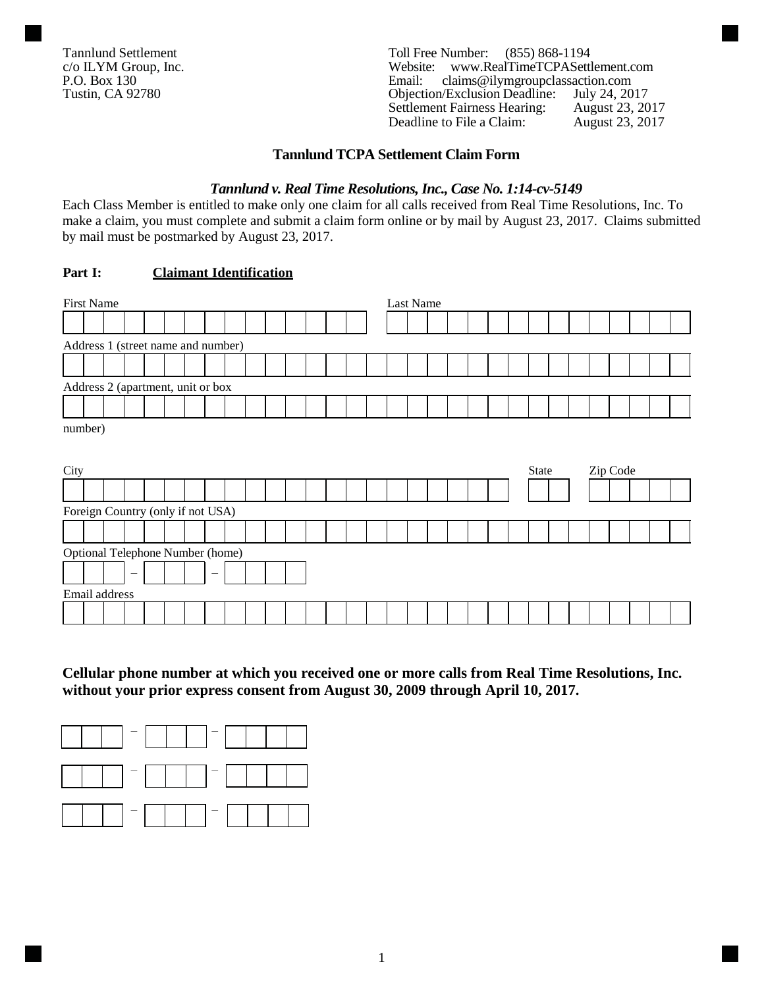Tannlund Settlement<br>
C/o ILYM Group, Inc.<br>
Toll Free Number: (855) 868-1194<br>
Website: www.RealTimeTCPASettl c/o ILYM Group, Inc.<br>
P.O. Box 130<br>
P.O. Box 130<br>
P.O. Box 130<br>
P.O. Box 130<br>
P.O. Box 130 P.O. Box 130 **Email:** claims@ilymgroupclassaction.com<br>
Tustin, CA 92780 **Direction** Objection/Exclusion Deadline: July 24, 2017 Objection/Exclusion Deadline: Settlement Fairness Hearing: August 23, 2017<br>Deadline to File a Claim: August 23, 2017 Deadline to File a Claim:

# **Tannlund TCPA Settlement Claim Form**

#### *Tannlund v. Real Time Resolutions, Inc., Case No. 1:14-cv-5149*

Each Class Member is entitled to make only one claim for all calls received from Real Time Resolutions, Inc. To make a claim, you must complete and submit a claim form online or by mail by August 23, 2017. Claims submitted by mail must be postmarked by August 23, 2017.

### **Part I: Claimant Identification**

| <b>First Name</b>                  |                                  |                          |  |  |                                |  |  |  | Last Name |  |  |  |  |  |  |  |  |  |       |  |          |  |  |  |
|------------------------------------|----------------------------------|--------------------------|--|--|--------------------------------|--|--|--|-----------|--|--|--|--|--|--|--|--|--|-------|--|----------|--|--|--|
|                                    |                                  |                          |  |  |                                |  |  |  |           |  |  |  |  |  |  |  |  |  |       |  |          |  |  |  |
| Address 1 (street name and number) |                                  |                          |  |  |                                |  |  |  |           |  |  |  |  |  |  |  |  |  |       |  |          |  |  |  |
|                                    |                                  |                          |  |  |                                |  |  |  |           |  |  |  |  |  |  |  |  |  |       |  |          |  |  |  |
| Address 2 (apartment, unit or box  |                                  |                          |  |  |                                |  |  |  |           |  |  |  |  |  |  |  |  |  |       |  |          |  |  |  |
|                                    |                                  |                          |  |  |                                |  |  |  |           |  |  |  |  |  |  |  |  |  |       |  |          |  |  |  |
| number)                            |                                  |                          |  |  |                                |  |  |  |           |  |  |  |  |  |  |  |  |  |       |  |          |  |  |  |
|                                    |                                  |                          |  |  |                                |  |  |  |           |  |  |  |  |  |  |  |  |  |       |  |          |  |  |  |
| City                               |                                  |                          |  |  |                                |  |  |  |           |  |  |  |  |  |  |  |  |  | State |  | Zip Code |  |  |  |
|                                    |                                  |                          |  |  |                                |  |  |  |           |  |  |  |  |  |  |  |  |  |       |  |          |  |  |  |
| Foreign Country (only if not USA)  |                                  |                          |  |  |                                |  |  |  |           |  |  |  |  |  |  |  |  |  |       |  |          |  |  |  |
|                                    |                                  |                          |  |  |                                |  |  |  |           |  |  |  |  |  |  |  |  |  |       |  |          |  |  |  |
|                                    |                                  |                          |  |  |                                |  |  |  |           |  |  |  |  |  |  |  |  |  |       |  |          |  |  |  |
|                                    | Optional Telephone Number (home) |                          |  |  |                                |  |  |  |           |  |  |  |  |  |  |  |  |  |       |  |          |  |  |  |
|                                    |                                  | $\overline{\phantom{m}}$ |  |  | $\qquad \qquad \longleftarrow$ |  |  |  |           |  |  |  |  |  |  |  |  |  |       |  |          |  |  |  |
|                                    | Email address                    |                          |  |  |                                |  |  |  |           |  |  |  |  |  |  |  |  |  |       |  |          |  |  |  |

**Cellular phone number at which you received one or more calls from Real Time Resolutions, Inc. without your prior express consent from August 30, 2009 through April 10, 2017.**